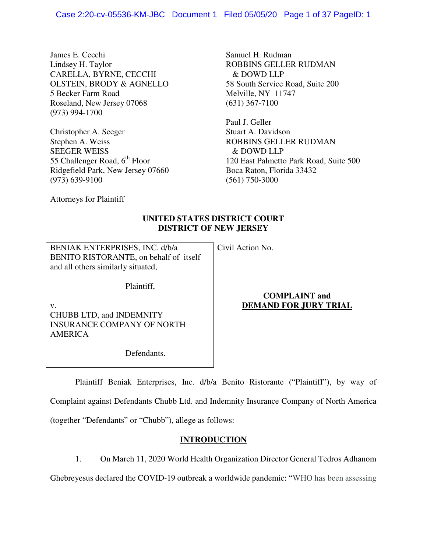James E. Cecchi Lindsey H. Taylor CARELLA, BYRNE, CECCHI OLSTEIN, BRODY & AGNELLO 5 Becker Farm Road Roseland, New Jersey 07068 (973) 994-1700

Christopher A. Seeger Stephen A. Weiss SEEGER WEISS 55 Challenger Road,  $6^{\text{th}}$  Floor Ridgefield Park, New Jersey 07660 (973) 639-9100

Samuel H. Rudman ROBBINS GELLER RUDMAN & DOWD LLP 58 South Service Road, Suite 200 Melville, NY 11747 (631) 367-7100

Paul J. Geller Stuart A. Davidson ROBBINS GELLER RUDMAN & DOWD LLP 120 East Palmetto Park Road, Suite 500 Boca Raton, Florida 33432 (561) 750-3000

Attorneys for Plaintiff

# **UNITED STATES DISTRICT COURT DISTRICT OF NEW JERSEY**

BENIAK ENTERPRISES, INC. d/b/a BENITO RISTORANTE, on behalf of itself and all others similarly situated,

Civil Action No.

Plaintiff,

v. CHUBB LTD, and INDEMNITY INSURANCE COMPANY OF NORTH AMERICA

# **COMPLAINT and DEMAND FOR JURY TRIAL**

Defendants.

Plaintiff Beniak Enterprises, Inc. d/b/a Benito Ristorante ("Plaintiff"), by way of Complaint against Defendants Chubb Ltd. and Indemnity Insurance Company of North America

(together "Defendants" or "Chubb"), allege as follows:

# **INTRODUCTION**

1. On March 11, 2020 World Health Organization Director General Tedros Adhanom

Ghebreyesus declared the COVID-19 outbreak a worldwide pandemic: "WHO has been assessing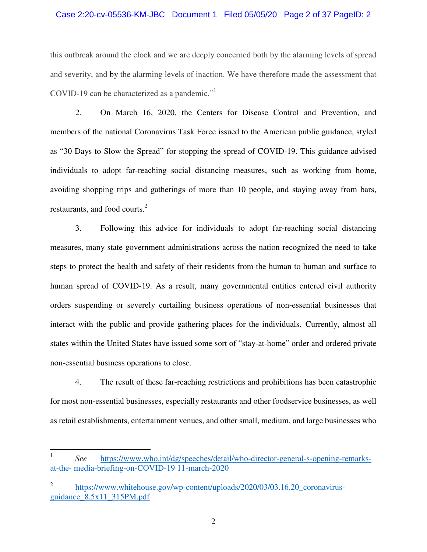### Case 2:20-cv-05536-KM-JBC Document 1 Filed 05/05/20 Page 2 of 37 PageID: 2

this outbreak around the clock and we are deeply concerned both by the alarming levels of spread and severity, and by the alarming levels of inaction. We have therefore made the assessment that COVID-19 can be characterized as a pandemic."

2. On March 16, 2020, the Centers for Disease Control and Prevention, and members of the national Coronavirus Task Force issued to the American public guidance, styled as "30 Days to Slow the Spread" for stopping the spread of COVID-19. This guidance advised individuals to adopt far-reaching social distancing measures, such as working from home, avoiding shopping trips and gatherings of more than 10 people, and staying away from bars, restaurants, and food courts.<sup>2</sup>

3. Following this advice for individuals to adopt far-reaching social distancing measures, many state government administrations across the nation recognized the need to take steps to protect the health and safety of their residents from the human to human and surface to human spread of COVID-19. As a result, many governmental entities entered civil authority orders suspending or severely curtailing business operations of non-essential businesses that interact with the public and provide gathering places for the individuals. Currently, almost all states within the United States have issued some sort of "stay-at-home" order and ordered private non-essential business operations to close.

4. The result of these far-reaching restrictions and prohibitions has been catastrophic for most non-essential businesses, especially restaurants and other foodservice businesses, as well as retail establishments, entertainment venues, and other small, medium, and large businesses who

 $\frac{1}{1}$  *See* https://www.who.int/dg/speeches/detail/who-director-general-s-opening-remarksat-the- media-briefing-on-COVID-19 11-march-2020

<sup>2</sup> https://www.whitehouse.gov/wp-content/uploads/2020/03/03.16.20\_coronavirusguidance\_8.5x11\_315PM.pdf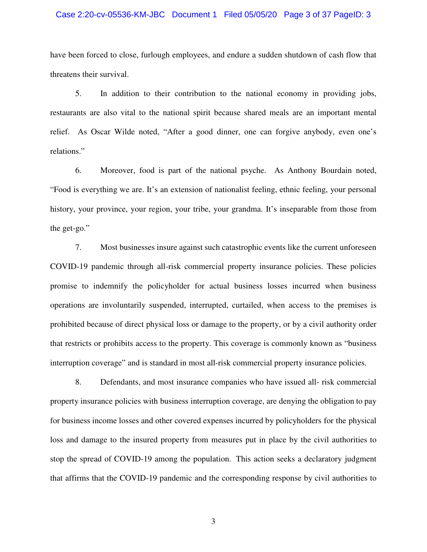#### Case 2:20-cv-05536-KM-JBC Document 1 Filed 05/05/20 Page 3 of 37 PageID: 3

have been forced to close, furlough employees, and endure a sudden shutdown of cash flow that threatens their survival.

5. In addition to their contribution to the national economy in providing jobs, restaurants are also vital to the national spirit because shared meals are an important mental relief. As Oscar Wilde noted, "After a good dinner, one can forgive anybody, even one's relations."

6. Moreover, food is part of the national psyche. As Anthony Bourdain noted, "Food is everything we are. It's an extension of nationalist feeling, ethnic feeling, your personal history, your province, your region, your tribe, your grandma. It's inseparable from those from the get-go."

7. Most businesses insure against such catastrophic events like the current unforeseen COVID-19 pandemic through all-risk commercial property insurance policies. These policies promise to indemnify the policyholder for actual business losses incurred when business operations are involuntarily suspended, interrupted, curtailed, when access to the premises is prohibited because of direct physical loss or damage to the property, or by a civil authority order that restricts or prohibits access to the property. This coverage is commonly known as "business interruption coverage" and is standard in most all-risk commercial property insurance policies.

8. Defendants, and most insurance companies who have issued all- risk commercial property insurance policies with business interruption coverage, are denying the obligation to pay for business income losses and other covered expenses incurred by policyholders for the physical loss and damage to the insured property from measures put in place by the civil authorities to stop the spread of COVID-19 among the population. This action seeks a declaratory judgment that affirms that the COVID-19 pandemic and the corresponding response by civil authorities to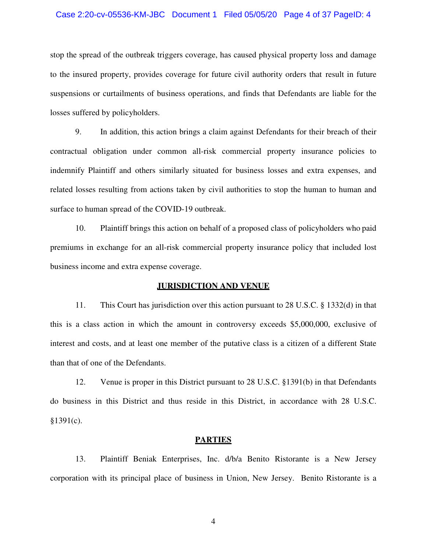#### Case 2:20-cv-05536-KM-JBC Document 1 Filed 05/05/20 Page 4 of 37 PageID: 4

stop the spread of the outbreak triggers coverage, has caused physical property loss and damage to the insured property, provides coverage for future civil authority orders that result in future suspensions or curtailments of business operations, and finds that Defendants are liable for the losses suffered by policyholders.

9. In addition, this action brings a claim against Defendants for their breach of their contractual obligation under common all-risk commercial property insurance policies to indemnify Plaintiff and others similarly situated for business losses and extra expenses, and related losses resulting from actions taken by civil authorities to stop the human to human and surface to human spread of the COVID-19 outbreak.

10. Plaintiff brings this action on behalf of a proposed class of policyholders who paid premiums in exchange for an all-risk commercial property insurance policy that included lost business income and extra expense coverage.

#### **JURISDICTION AND VENUE**

11. This Court has jurisdiction over this action pursuant to 28 U.S.C. § 1332(d) in that this is a class action in which the amount in controversy exceeds \$5,000,000, exclusive of interest and costs, and at least one member of the putative class is a citizen of a different State than that of one of the Defendants.

12. Venue is proper in this District pursuant to 28 U.S.C. §1391(b) in that Defendants do business in this District and thus reside in this District, in accordance with 28 U.S.C.  $§1391(c)$ .

#### **PARTIES**

13. Plaintiff Beniak Enterprises, Inc. d/b/a Benito Ristorante is a New Jersey corporation with its principal place of business in Union, New Jersey. Benito Ristorante is a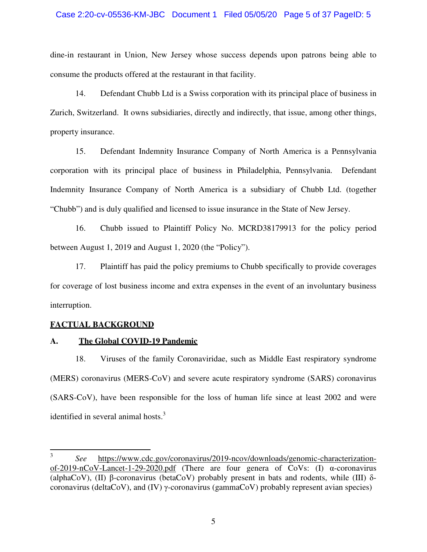### Case 2:20-cv-05536-KM-JBC Document 1 Filed 05/05/20 Page 5 of 37 PageID: 5

dine-in restaurant in Union, New Jersey whose success depends upon patrons being able to consume the products offered at the restaurant in that facility.

14. Defendant Chubb Ltd is a Swiss corporation with its principal place of business in Zurich, Switzerland. It owns subsidiaries, directly and indirectly, that issue, among other things, property insurance.

15. Defendant Indemnity Insurance Company of North America is a Pennsylvania corporation with its principal place of business in Philadelphia, Pennsylvania. Defendant Indemnity Insurance Company of North America is a subsidiary of Chubb Ltd. (together "Chubb") and is duly qualified and licensed to issue insurance in the State of New Jersey.

16. Chubb issued to Plaintiff Policy No. MCRD38179913 for the policy period between August 1, 2019 and August 1, 2020 (the "Policy").

17. Plaintiff has paid the policy premiums to Chubb specifically to provide coverages for coverage of lost business income and extra expenses in the event of an involuntary business interruption.

# **FACTUAL BACKGROUND**

# **A. The Global COVID-19 Pandemic**

18. Viruses of the family Coronaviridae, such as Middle East respiratory syndrome (MERS) coronavirus (MERS-CoV) and severe acute respiratory syndrome (SARS) coronavirus (SARS-CoV), have been responsible for the loss of human life since at least 2002 and were identified in several animal hosts. $3$ 

 $\frac{1}{3}$  *See* https://www.cdc.gov/coronavirus/2019-ncov/downloads/genomic-characterizationof-2019-nCoV-Lancet-1-29-2020.pdf (There are four genera of CoVs: (I) α-coronavirus (alphaCoV), (II) β-coronavirus (betaCoV) probably present in bats and rodents, while (III) δcoronavirus (deltaCoV), and (IV) γ-coronavirus (gammaCoV) probably represent avian species)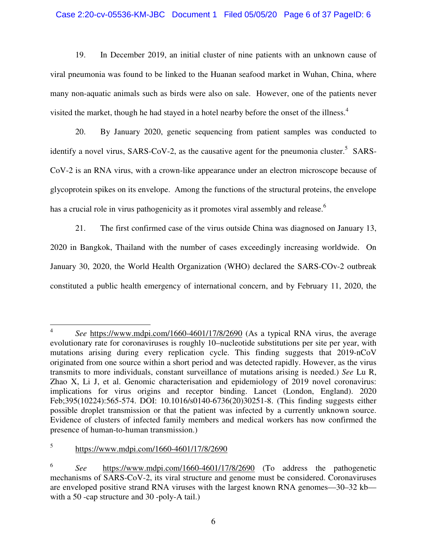# Case 2:20-cv-05536-KM-JBC Document 1 Filed 05/05/20 Page 6 of 37 PageID: 6

19. In December 2019, an initial cluster of nine patients with an unknown cause of viral pneumonia was found to be linked to the Huanan seafood market in Wuhan, China, where many non-aquatic animals such as birds were also on sale. However, one of the patients never visited the market, though he had stayed in a hotel nearby before the onset of the illness. $4$ 

20. By January 2020, genetic sequencing from patient samples was conducted to identify a novel virus,  $SARS-CoV-2$ , as the causative agent for the pneumonia cluster.<sup>5</sup> SARS-CoV-2 is an RNA virus, with a crown-like appearance under an electron microscope because of glycoprotein spikes on its envelope. Among the functions of the structural proteins, the envelope has a crucial role in virus pathogenicity as it promotes viral assembly and release.<sup>6</sup>

21. The first confirmed case of the virus outside China was diagnosed on January 13, 2020 in Bangkok, Thailand with the number of cases exceedingly increasing worldwide. On January 30, 2020, the World Health Organization (WHO) declared the SARS-COv-2 outbreak constituted a public health emergency of international concern, and by February 11, 2020, the

-

<sup>4</sup> *See* https://www.mdpi.com/1660-4601/17/8/2690 (As a typical RNA virus, the average evolutionary rate for coronaviruses is roughly 10–nucleotide substitutions per site per year, with mutations arising during every replication cycle. This finding suggests that 2019-nCoV originated from one source within a short period and was detected rapidly. However, as the virus transmits to more individuals, constant surveillance of mutations arising is needed.) *See* Lu R, Zhao X, Li J, et al. Genomic characterisation and epidemiology of 2019 novel coronavirus: implications for virus origins and receptor binding. Lancet (London, England). 2020 Feb;395(10224):565-574. DOI: 10.1016/s0140-6736(20)30251-8. (This finding suggests either possible droplet transmission or that the patient was infected by a currently unknown source. Evidence of clusters of infected family members and medical workers has now confirmed the presence of human-to-human transmission.)

<sup>5</sup> https://www.mdpi.com/1660-4601/17/8/2690

<sup>6</sup> *See* https://www.mdpi.com/1660-4601/17/8/2690 (To address the pathogenetic mechanisms of SARS-CoV-2, its viral structure and genome must be considered. Coronaviruses are enveloped positive strand RNA viruses with the largest known RNA genomes—30–32 kb with a 50 -cap structure and 30 -poly-A tail.)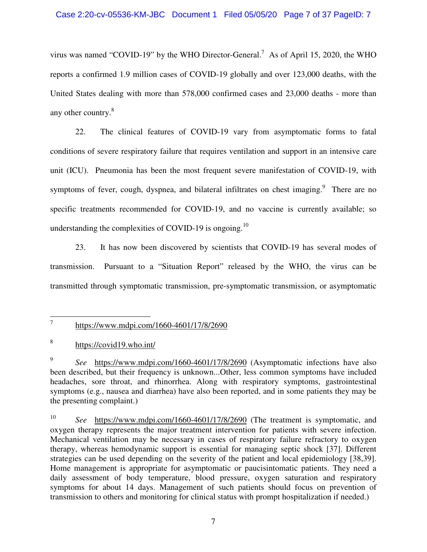# Case 2:20-cv-05536-KM-JBC Document 1 Filed 05/05/20 Page 7 of 37 PageID: 7

virus was named "COVID-19" by the WHO Director-General.<sup>7</sup> As of April 15, 2020, the WHO reports a confirmed 1.9 million cases of COVID-19 globally and over 123,000 deaths, with the United States dealing with more than 578,000 confirmed cases and 23,000 deaths - more than any other country.<sup>8</sup>

22. The clinical features of COVID-19 vary from asymptomatic forms to fatal conditions of severe respiratory failure that requires ventilation and support in an intensive care unit (ICU). Pneumonia has been the most frequent severe manifestation of COVID-19, with symptoms of fever, cough, dyspnea, and bilateral infiltrates on chest imaging.<sup>9</sup> There are no specific treatments recommended for COVID-19, and no vaccine is currently available; so understanding the complexities of COVID-19 is ongoing.<sup>10</sup>

23. It has now been discovered by scientists that COVID-19 has several modes of transmission. Pursuant to a "Situation Report" released by the WHO, the virus can be transmitted through symptomatic transmission, pre-symptomatic transmission, or asymptomatic

 $\frac{1}{7}$ https://www.mdpi.com/1660-4601/17/8/2690

<sup>8</sup> https://covid19.who.int/

<sup>9</sup> *See* https://www.mdpi.com/1660-4601/17/8/2690 (Asymptomatic infections have also been described, but their frequency is unknown...Other, less common symptoms have included headaches, sore throat, and rhinorrhea. Along with respiratory symptoms, gastrointestinal symptoms (e.g., nausea and diarrhea) have also been reported, and in some patients they may be the presenting complaint.)

<sup>10</sup> *See* https://www.mdpi.com/1660-4601/17/8/2690 (The treatment is symptomatic, and oxygen therapy represents the major treatment intervention for patients with severe infection. Mechanical ventilation may be necessary in cases of respiratory failure refractory to oxygen therapy, whereas hemodynamic support is essential for managing septic shock [37]. Different strategies can be used depending on the severity of the patient and local epidemiology [38,39]. Home management is appropriate for asymptomatic or paucisintomatic patients. They need a daily assessment of body temperature, blood pressure, oxygen saturation and respiratory symptoms for about 14 days. Management of such patients should focus on prevention of transmission to others and monitoring for clinical status with prompt hospitalization if needed.)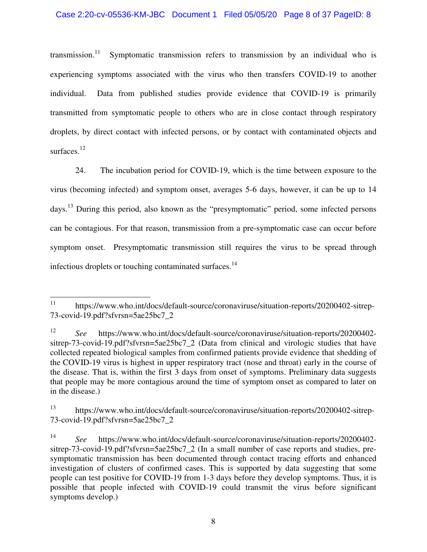# Case 2:20-cv-05536-KM-JBC Document 1 Filed 05/05/20 Page 8 of 37 PageID: 8

transmission.<sup>11</sup> Symptomatic transmission refers to transmission by an individual who is experiencing symptoms associated with the virus who then transfers COVID-19 to another individual. Data from published studies provide evidence that COVID-19 is primarily transmitted from symptomatic people to others who are in close contact through respiratory droplets, by direct contact with infected persons, or by contact with contaminated objects and surfaces.<sup>12</sup>

24. The incubation period for COVID-19, which is the time between exposure to the virus (becoming infected) and symptom onset, averages 5-6 days, however, it can be up to 14 days.<sup>13</sup> During this period, also known as the "presymptomatic" period, some infected persons can be contagious. For that reason, transmission from a pre-symptomatic case can occur before symptom onset. Presymptomatic transmission still requires the virus to be spread through infectious droplets or touching contaminated surfaces.<sup>14</sup>

 $11\,$ https://www.who.int/docs/default-source/coronaviruse/situation-reports/20200402-sitrep-73-covid-19.pdf?sfvrsn=5ae25bc7\_2

<sup>12</sup> *See* https://www.who.int/docs/default-source/coronaviruse/situation-reports/20200402 sitrep-73-covid-19.pdf?sfvrsn=5ae25bc7\_2 (Data from clinical and virologic studies that have collected repeated biological samples from confirmed patients provide evidence that shedding of the COVID-19 virus is highest in upper respiratory tract (nose and throat) early in the course of the disease. That is, within the first 3 days from onset of symptoms. Preliminary data suggests that people may be more contagious around the time of symptom onset as compared to later on in the disease.)

<sup>13</sup> https://www.who.int/docs/default-source/coronaviruse/situation-reports/20200402-sitrep-73-covid-19.pdf?sfvrsn=5ae25bc7\_2

<sup>14</sup> *See* https://www.who.int/docs/default-source/coronaviruse/situation-reports/20200402 sitrep-73-covid-19.pdf?sfvrsn=5ae25bc7\_2 (In a small number of case reports and studies, presymptomatic transmission has been documented through contact tracing efforts and enhanced investigation of clusters of confirmed cases. This is supported by data suggesting that some people can test positive for COVID-19 from 1-3 days before they develop symptoms. Thus, it is possible that people infected with COVID-19 could transmit the virus before significant symptoms develop.)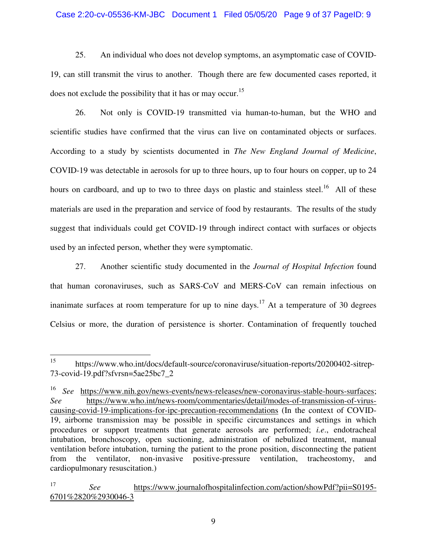### Case 2:20-cv-05536-KM-JBC Document 1 Filed 05/05/20 Page 9 of 37 PageID: 9

25. An individual who does not develop symptoms, an asymptomatic case of COVID-19, can still transmit the virus to another. Though there are few documented cases reported, it does not exclude the possibility that it has or may occur.<sup>15</sup>

26. Not only is COVID-19 transmitted via human-to-human, but the WHO and scientific studies have confirmed that the virus can live on contaminated objects or surfaces. According to a study by scientists documented in *The New England Journal of Medicine*, COVID-19 was detectable in aerosols for up to three hours, up to four hours on copper, up to 24 hours on cardboard, and up to two to three days on plastic and stainless steel.<sup>16</sup> All of these materials are used in the preparation and service of food by restaurants. The results of the study suggest that individuals could get COVID-19 through indirect contact with surfaces or objects used by an infected person, whether they were symptomatic.

27. Another scientific study documented in the *Journal of Hospital Infection* found that human coronaviruses, such as SARS-CoV and MERS-CoV can remain infectious on inanimate surfaces at room temperature for up to nine days.<sup>17</sup> At a temperature of 30 degrees Celsius or more, the duration of persistence is shorter. Contamination of frequently touched

<sup>15</sup> https://www.who.int/docs/default-source/coronaviruse/situation-reports/20200402-sitrep-73-covid-19.pdf?sfvrsn=5ae25bc7\_2

<sup>16</sup> *See* https://www.nih.gov/news-events/news-releases/new-coronavirus-stable-hours-surfaces; *See* https://www.who.int/news-room/commentaries/detail/modes-of-transmission-of-viruscausing-covid-19-implications-for-ipc-precaution-recommendations (In the context of COVID-19, airborne transmission may be possible in specific circumstances and settings in which procedures or support treatments that generate aerosols are performed; *i.e*., endotracheal intubation, bronchoscopy, open suctioning, administration of nebulized treatment, manual ventilation before intubation, turning the patient to the prone position, disconnecting the patient from the ventilator, non-invasive positive-pressure ventilation, tracheostomy, and cardiopulmonary resuscitation.)

 <sup>17</sup> *See* https://www.journalofhospitalinfection.com/action/showPdf?pii=S0195- 6701%2820%2930046-3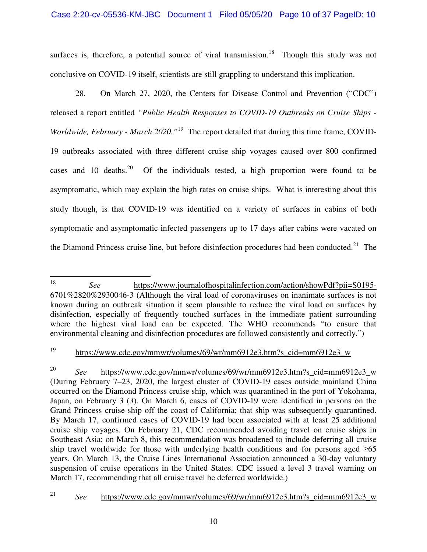surfaces is, therefore, a potential source of viral transmission.<sup>18</sup> Though this study was not conclusive on COVID-19 itself, scientists are still grappling to understand this implication.

28. On March 27, 2020, the Centers for Disease Control and Prevention ("CDC") released a report entitled *"Public Health Responses to COVID-19 Outbreaks on Cruise Ships - Worldwide, February - March 2020.*"<sup>19</sup> The report detailed that during this time frame, COVID-19 outbreaks associated with three different cruise ship voyages caused over 800 confirmed cases and 10 deaths.<sup>20</sup> Of the individuals tested, a high proportion were found to be asymptomatic, which may explain the high rates on cruise ships. What is interesting about this study though, is that COVID-19 was identified on a variety of surfaces in cabins of both symptomatic and asymptomatic infected passengers up to 17 days after cabins were vacated on the Diamond Princess cruise line, but before disinfection procedures had been conducted.<sup>21</sup> The

# <sup>19</sup> https://www.cdc.gov/mmwr/volumes/69/wr/mm6912e3.htm?s\_cid=mm6912e3\_w

<sup>18</sup> <sup>18</sup> *See* https://www.journalofhospitalinfection.com/action/showPdf?pii=S0195- 6701%2820%2930046-3 (Although the viral load of coronaviruses on inanimate surfaces is not known during an outbreak situation it seem plausible to reduce the viral load on surfaces by disinfection, especially of frequently touched surfaces in the immediate patient surrounding where the highest viral load can be expected. The WHO recommends "to ensure that environmental cleaning and disinfection procedures are followed consistently and correctly.")

<sup>&</sup>lt;sup>20</sup> See https://www.cdc.gov/mmwr/volumes/69/wr/mm6912e3.htm?s\_cid=mm6912e3\_w (During February 7–23, 2020, the largest cluster of COVID-19 cases outside mainland China occurred on the Diamond Princess cruise ship, which was quarantined in the port of Yokohama, Japan, on February 3 (*3*). On March 6, cases of COVID-19 were identified in persons on the Grand Princess cruise ship off the coast of California; that ship was subsequently quarantined. By March 17, confirmed cases of COVID-19 had been associated with at least 25 additional cruise ship voyages. On February 21, CDC recommended avoiding travel on cruise ships in Southeast Asia; on March 8, this recommendation was broadened to include deferring all cruise ship travel worldwide for those with underlying health conditions and for persons aged  $\geq 65$ years. On March 13, the Cruise Lines International Association announced a 30-day voluntary suspension of cruise operations in the United States. CDC issued a level 3 travel warning on March 17, recommending that all cruise travel be deferred worldwide.)

<sup>21</sup> *See* https://www.cdc.gov/mmwr/volumes/69/wr/mm6912e3.htm?s\_cid=mm6912e3\_w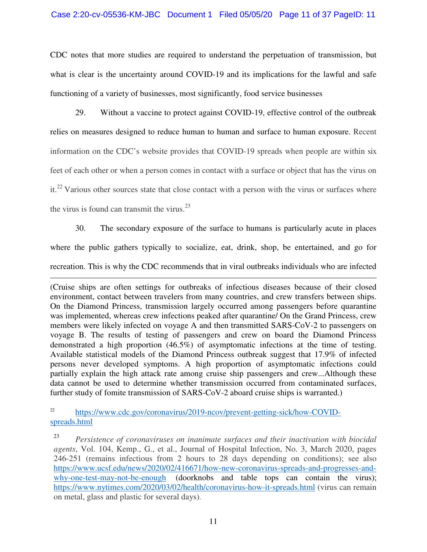CDC notes that more studies are required to understand the perpetuation of transmission, but what is clear is the uncertainty around COVID-19 and its implications for the lawful and safe functioning of a variety of businesses, most significantly, food service businesses

29. Without a vaccine to protect against COVID-19, effective control of the outbreak relies on measures designed to reduce human to human and surface to human exposure. Recent information on the CDC's website provides that COVID-19 spreads when people are within six feet of each other or when a person comes in contact with a surface or object that has the virus on it.<sup>22</sup> Various other sources state that close contact with a person with the virus or surfaces where the virus is found can transmit the virus. $^{23}$ 

30. The secondary exposure of the surface to humans is particularly acute in places where the public gathers typically to socialize, eat, drink, shop, be entertained, and go for recreation. This is why the CDC recommends that in viral outbreaks individuals who are infected

-

(Cruise ships are often settings for outbreaks of infectious diseases because of their closed environment, contact between travelers from many countries, and crew transfers between ships. On the Diamond Princess, transmission largely occurred among passengers before quarantine was implemented, whereas crew infections peaked after quarantine/ On the Grand Princess, crew members were likely infected on voyage A and then transmitted SARS-CoV-2 to passengers on voyage B. The results of testing of passengers and crew on board the Diamond Princess demonstrated a high proportion (46.5%) of asymptomatic infections at the time of testing. Available statistical models of the Diamond Princess outbreak suggest that 17.9% of infected persons never developed symptoms. A high proportion of asymptomatic infections could partially explain the high attack rate among cruise ship passengers and crew...Although these data cannot be used to determine whether transmission occurred from contaminated surfaces, further study of fomite transmission of SARS-CoV-2 aboard cruise ships is warranted.)

22 https://www.cdc.gov/coronavirus/2019-ncov/prevent-getting-sick/how-COVIDspreads.html

<sup>23</sup> *Persistence of coronaviruses on inanimate surfaces and their inactivation with biocidal agents*, Vol. 104, Kemp., G., et al., Journal of Hospital Infection, No. 3, March 2020, pages 246-251 (remains infectious from 2 hours to 28 days depending on conditions); see also https://www.ucsf.edu/news/2020/02/416671/how-new-coronavirus-spreads-and-progresses-andwhy-one-test-may-not-be-enough (doorknobs and table tops can contain the virus); https://www.nytimes.com/2020/03/02/health/coronavirus-how-it-spreads.html (virus can remain on metal, glass and plastic for several days).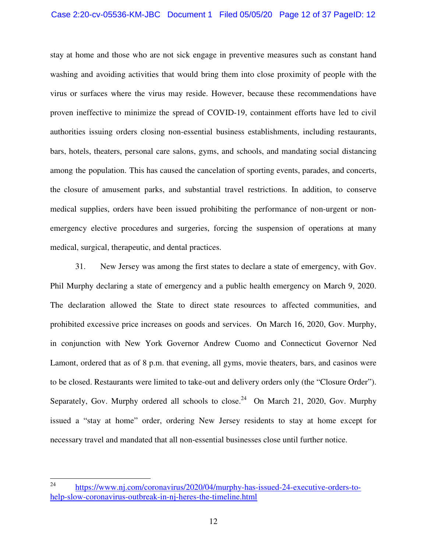### Case 2:20-cv-05536-KM-JBC Document 1 Filed 05/05/20 Page 12 of 37 PageID: 12

stay at home and those who are not sick engage in preventive measures such as constant hand washing and avoiding activities that would bring them into close proximity of people with the virus or surfaces where the virus may reside. However, because these recommendations have proven ineffective to minimize the spread of COVID-19, containment efforts have led to civil authorities issuing orders closing non-essential business establishments, including restaurants, bars, hotels, theaters, personal care salons, gyms, and schools, and mandating social distancing among the population. This has caused the cancelation of sporting events, parades, and concerts, the closure of amusement parks, and substantial travel restrictions. In addition, to conserve medical supplies, orders have been issued prohibiting the performance of non-urgent or nonemergency elective procedures and surgeries, forcing the suspension of operations at many medical, surgical, therapeutic, and dental practices.

31. New Jersey was among the first states to declare a state of emergency, with Gov. Phil Murphy declaring a state of emergency and a public health emergency on March 9, 2020. The declaration allowed the State to direct state resources to affected communities, and prohibited excessive price increases on goods and services. On March 16, 2020, Gov. Murphy, in conjunction with New York Governor Andrew Cuomo and Connecticut Governor Ned Lamont, ordered that as of 8 p.m. that evening, all gyms, movie theaters, bars, and casinos were to be closed. Restaurants were limited to take-out and delivery orders only (the "Closure Order"). Separately, Gov. Murphy ordered all schools to close.<sup>24</sup> On March 21, 2020, Gov. Murphy issued a "stay at home" order, ordering New Jersey residents to stay at home except for necessary travel and mandated that all non-essential businesses close until further notice.

 $\frac{1}{24}$  https://www.nj.com/coronavirus/2020/04/murphy-has-issued-24-executive-orders-tohelp-slow-coronavirus-outbreak-in-nj-heres-the-timeline.html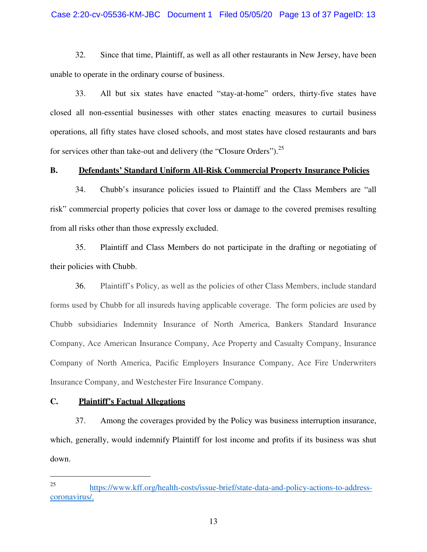### Case 2:20-cv-05536-KM-JBC Document 1 Filed 05/05/20 Page 13 of 37 PageID: 13

32. Since that time, Plaintiff, as well as all other restaurants in New Jersey, have been unable to operate in the ordinary course of business.

33. All but six states have enacted "stay-at-home" orders, thirty-five states have closed all non-essential businesses with other states enacting measures to curtail business operations, all fifty states have closed schools, and most states have closed restaurants and bars for services other than take-out and delivery (the "Closure Orders").<sup>25</sup>

### **B. Defendants' Standard Uniform All-Risk Commercial Property Insurance Policies**

34. Chubb's insurance policies issued to Plaintiff and the Class Members are "all risk" commercial property policies that cover loss or damage to the covered premises resulting from all risks other than those expressly excluded.

35. Plaintiff and Class Members do not participate in the drafting or negotiating of their policies with Chubb.

36. Plaintiff's Policy, as well as the policies of other Class Members, include standard forms used by Chubb for all insureds having applicable coverage. The form policies are used by Chubb subsidiaries Indemnity Insurance of North America, Bankers Standard Insurance Company, Ace American Insurance Company, Ace Property and Casualty Company, Insurance Company of North America, Pacific Employers Insurance Company, Ace Fire Underwriters Insurance Company, and Westchester Fire Insurance Company.

### **C. Plaintiff's Factual Allegations**

-

37. Among the coverages provided by the Policy was business interruption insurance, which, generally, would indemnify Plaintiff for lost income and profits if its business was shut down.

<sup>25</sup> https://www.kff.org/health-costs/issue-brief/state-data-and-policy-actions-to-addresscoronavirus/.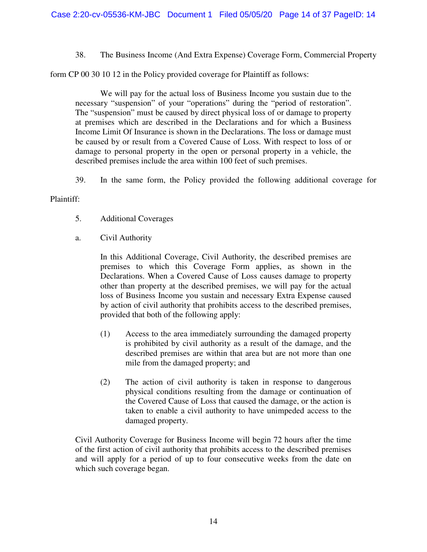38. The Business Income (And Extra Expense) Coverage Form, Commercial Property

form CP 00 30 10 12 in the Policy provided coverage for Plaintiff as follows:

We will pay for the actual loss of Business Income you sustain due to the necessary "suspension" of your "operations" during the "period of restoration". The "suspension" must be caused by direct physical loss of or damage to property at premises which are described in the Declarations and for which a Business Income Limit Of Insurance is shown in the Declarations. The loss or damage must be caused by or result from a Covered Cause of Loss. With respect to loss of or damage to personal property in the open or personal property in a vehicle, the described premises include the area within 100 feet of such premises.

39. In the same form, the Policy provided the following additional coverage for

# Plaintiff:

- 5. Additional Coverages
- a. Civil Authority

 In this Additional Coverage, Civil Authority, the described premises are premises to which this Coverage Form applies, as shown in the Declarations. When a Covered Cause of Loss causes damage to property other than property at the described premises, we will pay for the actual loss of Business Income you sustain and necessary Extra Expense caused by action of civil authority that prohibits access to the described premises, provided that both of the following apply:

- (1) Access to the area immediately surrounding the damaged property is prohibited by civil authority as a result of the damage, and the described premises are within that area but are not more than one mile from the damaged property; and
- (2) The action of civil authority is taken in response to dangerous physical conditions resulting from the damage or continuation of the Covered Cause of Loss that caused the damage, or the action is taken to enable a civil authority to have unimpeded access to the damaged property.

Civil Authority Coverage for Business Income will begin 72 hours after the time of the first action of civil authority that prohibits access to the described premises and will apply for a period of up to four consecutive weeks from the date on which such coverage began.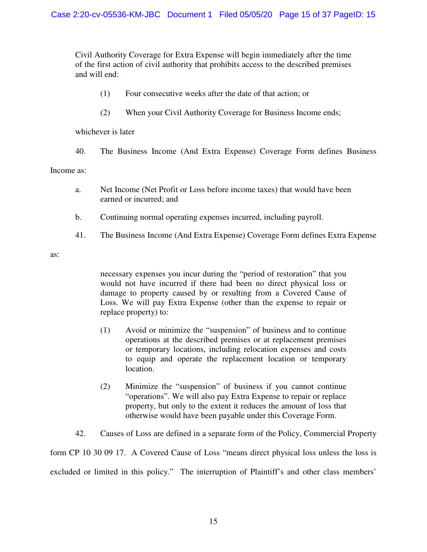Civil Authority Coverage for Extra Expense will begin immediately after the time of the first action of civil authority that prohibits access to the described premises and will end:

- (1) Four consecutive weeks after the date of that action; or
- (2) When your Civil Authority Coverage for Business Income ends;

whichever is later

40. The Business Income (And Extra Expense) Coverage Form defines Business

Income as:

- a. Net Income (Net Profit or Loss before income taxes) that would have been earned or incurred; and
- b. Continuing normal operating expenses incurred, including payroll.
- 41. The Business Income (And Extra Expense) Coverage Form defines Extra Expense

as:

 necessary expenses you incur during the "period of restoration" that you would not have incurred if there had been no direct physical loss or damage to property caused by or resulting from a Covered Cause of Loss. We will pay Extra Expense (other than the expense to repair or replace property) to:

- (1) Avoid or minimize the "suspension" of business and to continue operations at the described premises or at replacement premises or temporary locations, including relocation expenses and costs to equip and operate the replacement location or temporary location.
- (2) Minimize the "suspension" of business if you cannot continue "operations". We will also pay Extra Expense to repair or replace property, but only to the extent it reduces the amount of loss that otherwise would have been payable under this Coverage Form.

42. Causes of Loss are defined in a separate form of the Policy, Commercial Property

form CP 10 30 09 17. A Covered Cause of Loss "means direct physical loss unless the loss is excluded or limited in this policy." The interruption of Plaintiff's and other class members'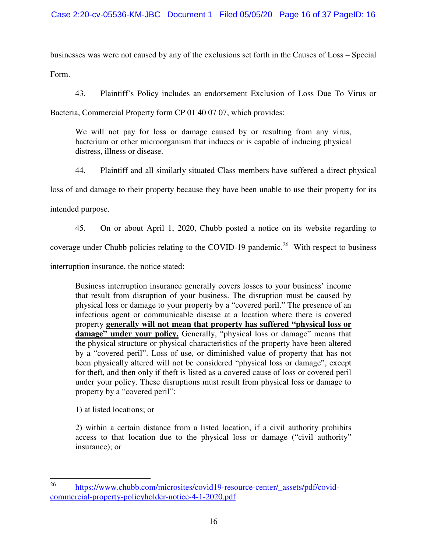businesses was were not caused by any of the exclusions set forth in the Causes of Loss – Special

Form.

43. Plaintiff's Policy includes an endorsement Exclusion of Loss Due To Virus or

Bacteria, Commercial Property form CP 01 40 07 07, which provides:

We will not pay for loss or damage caused by or resulting from any virus, bacterium or other microorganism that induces or is capable of inducing physical distress, illness or disease.

44. Plaintiff and all similarly situated Class members have suffered a direct physical

loss of and damage to their property because they have been unable to use their property for its

intended purpose.

45. On or about April 1, 2020, Chubb posted a notice on its website regarding to

coverage under Chubb policies relating to the COVID-19 pandemic.<sup>26</sup> With respect to business

interruption insurance, the notice stated:

Business interruption insurance generally covers losses to your business' income that result from disruption of your business. The disruption must be caused by physical loss or damage to your property by a "covered peril." The presence of an infectious agent or communicable disease at a location where there is covered property **generally will not mean that property has suffered "physical loss or**  damage" under your policy. Generally, "physical loss or damage" means that the physical structure or physical characteristics of the property have been altered by a "covered peril". Loss of use, or diminished value of property that has not been physically altered will not be considered "physical loss or damage", except for theft, and then only if theft is listed as a covered cause of loss or covered peril under your policy. These disruptions must result from physical loss or damage to property by a "covered peril":

1) at listed locations; or

2) within a certain distance from a listed location, if a civil authority prohibits access to that location due to the physical loss or damage ("civil authority" insurance); or

 $\frac{1}{26}$  https://www.chubb.com/microsites/covid19-resource-center/\_assets/pdf/covidcommercial-property-policyholder-notice-4-1-2020.pdf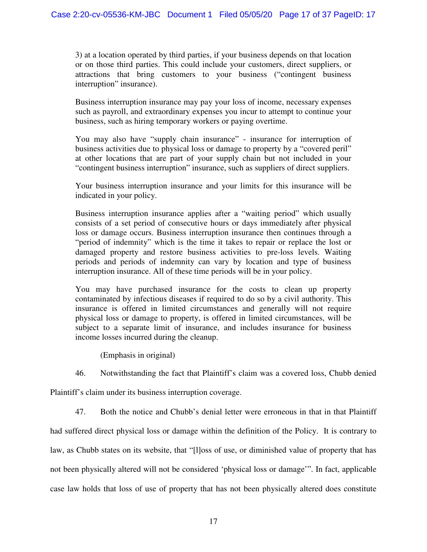3) at a location operated by third parties, if your business depends on that location or on those third parties. This could include your customers, direct suppliers, or attractions that bring customers to your business ("contingent business interruption" insurance).

Business interruption insurance may pay your loss of income, necessary expenses such as payroll, and extraordinary expenses you incur to attempt to continue your business, such as hiring temporary workers or paying overtime.

You may also have "supply chain insurance" - insurance for interruption of business activities due to physical loss or damage to property by a "covered peril" at other locations that are part of your supply chain but not included in your "contingent business interruption" insurance, such as suppliers of direct suppliers.

Your business interruption insurance and your limits for this insurance will be indicated in your policy.

Business interruption insurance applies after a "waiting period" which usually consists of a set period of consecutive hours or days immediately after physical loss or damage occurs. Business interruption insurance then continues through a "period of indemnity" which is the time it takes to repair or replace the lost or damaged property and restore business activities to pre-loss levels. Waiting periods and periods of indemnity can vary by location and type of business interruption insurance. All of these time periods will be in your policy.

You may have purchased insurance for the costs to clean up property contaminated by infectious diseases if required to do so by a civil authority. This insurance is offered in limited circumstances and generally will not require physical loss or damage to property, is offered in limited circumstances, will be subject to a separate limit of insurance, and includes insurance for business income losses incurred during the cleanup.

(Emphasis in original)

46. Notwithstanding the fact that Plaintiff's claim was a covered loss, Chubb denied

Plaintiff's claim under its business interruption coverage.

47. Both the notice and Chubb's denial letter were erroneous in that in that Plaintiff had suffered direct physical loss or damage within the definition of the Policy. It is contrary to law, as Chubb states on its website, that "[l]oss of use, or diminished value of property that has not been physically altered will not be considered 'physical loss or damage'". In fact, applicable case law holds that loss of use of property that has not been physically altered does constitute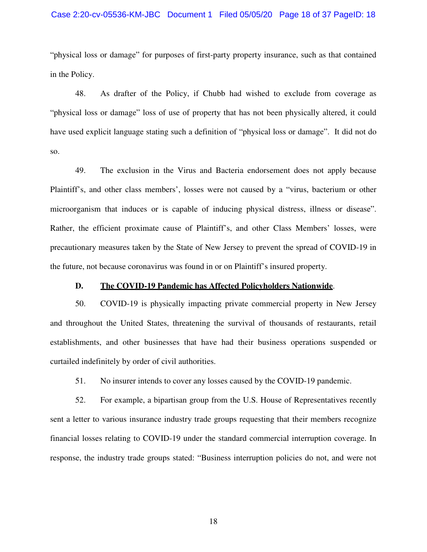#### Case 2:20-cv-05536-KM-JBC Document 1 Filed 05/05/20 Page 18 of 37 PageID: 18

"physical loss or damage" for purposes of first-party property insurance, such as that contained in the Policy.

48. As drafter of the Policy, if Chubb had wished to exclude from coverage as "physical loss or damage" loss of use of property that has not been physically altered, it could have used explicit language stating such a definition of "physical loss or damage". It did not do so.

49. The exclusion in the Virus and Bacteria endorsement does not apply because Plaintiff's, and other class members', losses were not caused by a "virus, bacterium or other microorganism that induces or is capable of inducing physical distress, illness or disease". Rather, the efficient proximate cause of Plaintiff's, and other Class Members' losses, were precautionary measures taken by the State of New Jersey to prevent the spread of COVID-19 in the future, not because coronavirus was found in or on Plaintiff's insured property.

# **D. The COVID-19 Pandemic has Affected Policyholders Nationwide**.

50. COVID-19 is physically impacting private commercial property in New Jersey and throughout the United States, threatening the survival of thousands of restaurants, retail establishments, and other businesses that have had their business operations suspended or curtailed indefinitely by order of civil authorities.

51. No insurer intends to cover any losses caused by the COVID-19 pandemic.

52. For example, a bipartisan group from the U.S. House of Representatives recently sent a letter to various insurance industry trade groups requesting that their members recognize financial losses relating to COVID-19 under the standard commercial interruption coverage. In response, the industry trade groups stated: "Business interruption policies do not, and were not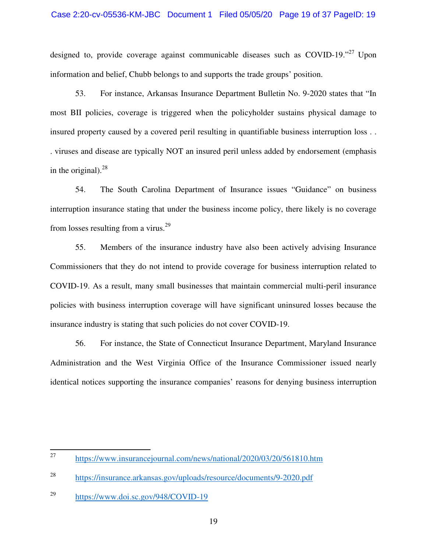### Case 2:20-cv-05536-KM-JBC Document 1 Filed 05/05/20 Page 19 of 37 PageID: 19

designed to, provide coverage against communicable diseases such as COVID-19.<sup>"27</sup> Upon information and belief, Chubb belongs to and supports the trade groups' position.

53. For instance, Arkansas Insurance Department Bulletin No. 9-2020 states that "In most BII policies, coverage is triggered when the policyholder sustains physical damage to insured property caused by a covered peril resulting in quantifiable business interruption loss . . . viruses and disease are typically NOT an insured peril unless added by endorsement (emphasis in the original). $^{28}$ 

54. The South Carolina Department of Insurance issues "Guidance" on business interruption insurance stating that under the business income policy, there likely is no coverage from losses resulting from a virus.<sup>29</sup>

55. Members of the insurance industry have also been actively advising Insurance Commissioners that they do not intend to provide coverage for business interruption related to COVID-19. As a result, many small businesses that maintain commercial multi-peril insurance policies with business interruption coverage will have significant uninsured losses because the insurance industry is stating that such policies do not cover COVID-19.

56. For instance, the State of Connecticut Insurance Department, Maryland Insurance Administration and the West Virginia Office of the Insurance Commissioner issued nearly identical notices supporting the insurance companies' reasons for denying business interruption

 $\frac{1}{27}$ https://www.insurancejournal.com/news/national/2020/03/20/561810.htm

<sup>28</sup> https://insurance.arkansas.gov/uploads/resource/documents/9-2020.pdf

<sup>29</sup> https://www.doi.sc.gov/948/COVID-19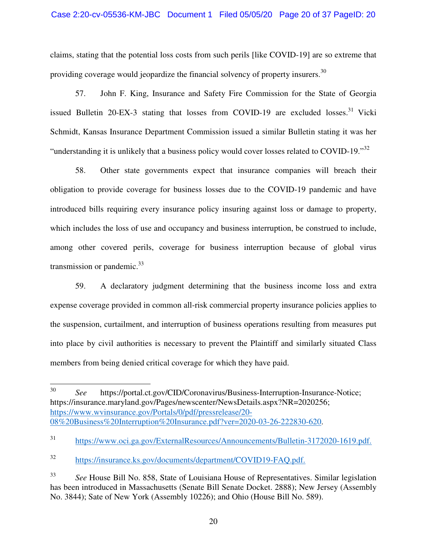# Case 2:20-cv-05536-KM-JBC Document 1 Filed 05/05/20 Page 20 of 37 PageID: 20

claims, stating that the potential loss costs from such perils [like COVID-19] are so extreme that providing coverage would jeopardize the financial solvency of property insurers.<sup>30</sup>

57. John F. King, Insurance and Safety Fire Commission for the State of Georgia issued Bulletin 20-EX-3 stating that losses from COVID-19 are excluded losses.<sup>31</sup> Vicki Schmidt, Kansas Insurance Department Commission issued a similar Bulletin stating it was her "understanding it is unlikely that a business policy would cover losses related to COVID-19."<sup>32</sup>

58. Other state governments expect that insurance companies will breach their obligation to provide coverage for business losses due to the COVID-19 pandemic and have introduced bills requiring every insurance policy insuring against loss or damage to property, which includes the loss of use and occupancy and business interruption, be construed to include, among other covered perils, coverage for business interruption because of global virus transmission or pandemic. $33$ 

59. A declaratory judgment determining that the business income loss and extra expense coverage provided in common all-risk commercial property insurance policies applies to the suspension, curtailment, and interruption of business operations resulting from measures put into place by civil authorities is necessary to prevent the Plaintiff and similarly situated Class members from being denied critical coverage for which they have paid.

 $\frac{1}{30}$  *See* https://portal.ct.gov/CID/Coronavirus/Business-Interruption-Insurance-Notice; https://insurance.maryland.gov/Pages/newscenter/NewsDetails.aspx?NR=2020256; https://www.wvinsurance.gov/Portals/0/pdf/pressrelease/20- 08%20Business%20Interruption%20Insurance.pdf?ver=2020-03-26-222830-620.

<sup>31</sup> https://www.oci.ga.gov/ExternalResources/Announcements/Bulletin-3172020-1619.pdf.

<sup>32</sup> https://insurance.ks.gov/documents/department/COVID19-FAQ.pdf.

<sup>33</sup> *See* House Bill No. 858, State of Louisiana House of Representatives. Similar legislation has been introduced in Massachusetts (Senate Bill Senate Docket. 2888); New Jersey (Assembly No. 3844); Sate of New York (Assembly 10226); and Ohio (House Bill No. 589).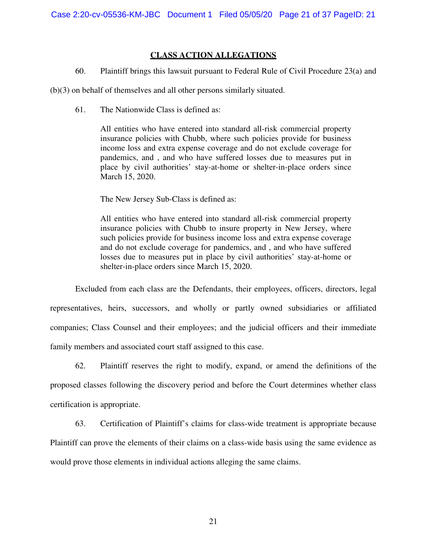# **CLASS ACTION ALLEGATIONS**

60. Plaintiff brings this lawsuit pursuant to Federal Rule of Civil Procedure 23(a) and

(b)(3) on behalf of themselves and all other persons similarly situated.

61. The Nationwide Class is defined as:

All entities who have entered into standard all-risk commercial property insurance policies with Chubb, where such policies provide for business income loss and extra expense coverage and do not exclude coverage for pandemics, and , and who have suffered losses due to measures put in place by civil authorities' stay-at-home or shelter-in-place orders since March 15, 2020.

The New Jersey Sub-Class is defined as:

All entities who have entered into standard all-risk commercial property insurance policies with Chubb to insure property in New Jersey, where such policies provide for business income loss and extra expense coverage and do not exclude coverage for pandemics, and , and who have suffered losses due to measures put in place by civil authorities' stay-at-home or shelter-in-place orders since March 15, 2020.

Excluded from each class are the Defendants, their employees, officers, directors, legal representatives, heirs, successors, and wholly or partly owned subsidiaries or affiliated companies; Class Counsel and their employees; and the judicial officers and their immediate family members and associated court staff assigned to this case.

62. Plaintiff reserves the right to modify, expand, or amend the definitions of the proposed classes following the discovery period and before the Court determines whether class certification is appropriate.

63. Certification of Plaintiff's claims for class-wide treatment is appropriate because Plaintiff can prove the elements of their claims on a class-wide basis using the same evidence as would prove those elements in individual actions alleging the same claims.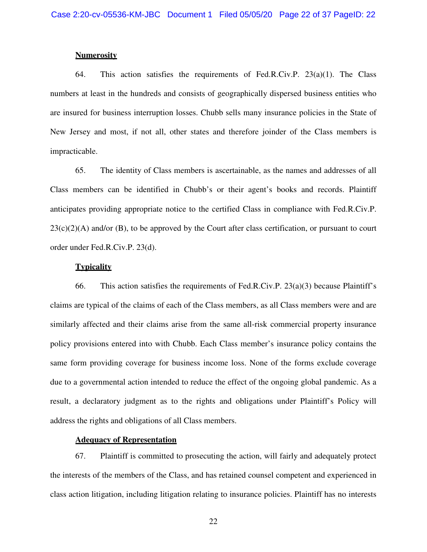### **Numerosity**

64. This action satisfies the requirements of Fed.R.Civ.P. 23(a)(1). The Class numbers at least in the hundreds and consists of geographically dispersed business entities who are insured for business interruption losses. Chubb sells many insurance policies in the State of New Jersey and most, if not all, other states and therefore joinder of the Class members is impracticable.

65. The identity of Class members is ascertainable, as the names and addresses of all Class members can be identified in Chubb's or their agent's books and records. Plaintiff anticipates providing appropriate notice to the certified Class in compliance with Fed.R.Civ.P.  $23(c)(2)(A)$  and/or (B), to be approved by the Court after class certification, or pursuant to court order under Fed.R.Civ.P. 23(d).

### **Typicality**

66. This action satisfies the requirements of Fed.R.Civ.P.  $23(a)(3)$  because Plaintiff's claims are typical of the claims of each of the Class members, as all Class members were and are similarly affected and their claims arise from the same all-risk commercial property insurance policy provisions entered into with Chubb. Each Class member's insurance policy contains the same form providing coverage for business income loss. None of the forms exclude coverage due to a governmental action intended to reduce the effect of the ongoing global pandemic. As a result, a declaratory judgment as to the rights and obligations under Plaintiff's Policy will address the rights and obligations of all Class members.

### **Adequacy of Representation**

67. Plaintiff is committed to prosecuting the action, will fairly and adequately protect the interests of the members of the Class, and has retained counsel competent and experienced in class action litigation, including litigation relating to insurance policies. Plaintiff has no interests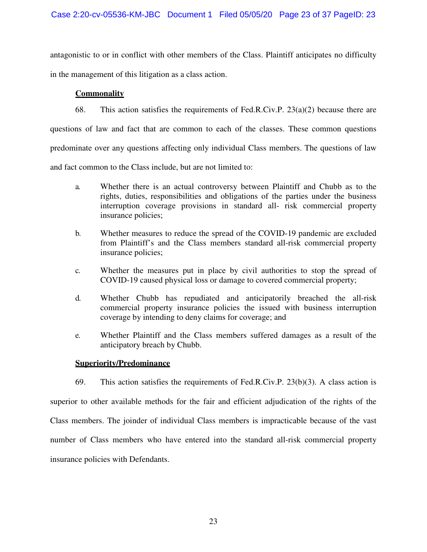Case 2:20-cv-05536-KM-JBC Document 1 Filed 05/05/20 Page 23 of 37 PageID: 23

antagonistic to or in conflict with other members of the Class. Plaintiff anticipates no difficulty in the management of this litigation as a class action.

### **Commonality**

68. This action satisfies the requirements of Fed.R.Civ.P.  $23(a)(2)$  because there are questions of law and fact that are common to each of the classes. These common questions predominate over any questions affecting only individual Class members. The questions of law and fact common to the Class include, but are not limited to:

- a. Whether there is an actual controversy between Plaintiff and Chubb as to the rights, duties, responsibilities and obligations of the parties under the business interruption coverage provisions in standard all- risk commercial property insurance policies;
- b. Whether measures to reduce the spread of the COVID-19 pandemic are excluded from Plaintiff's and the Class members standard all-risk commercial property insurance policies;
- c. Whether the measures put in place by civil authorities to stop the spread of COVID-19 caused physical loss or damage to covered commercial property;
- d. Whether Chubb has repudiated and anticipatorily breached the all-risk commercial property insurance policies the issued with business interruption coverage by intending to deny claims for coverage; and
- e. Whether Plaintiff and the Class members suffered damages as a result of the anticipatory breach by Chubb.

# **Superiority/Predominance**

69. This action satisfies the requirements of Fed.R.Civ.P. 23(b)(3). A class action is superior to other available methods for the fair and efficient adjudication of the rights of the Class members. The joinder of individual Class members is impracticable because of the vast number of Class members who have entered into the standard all-risk commercial property

insurance policies with Defendants.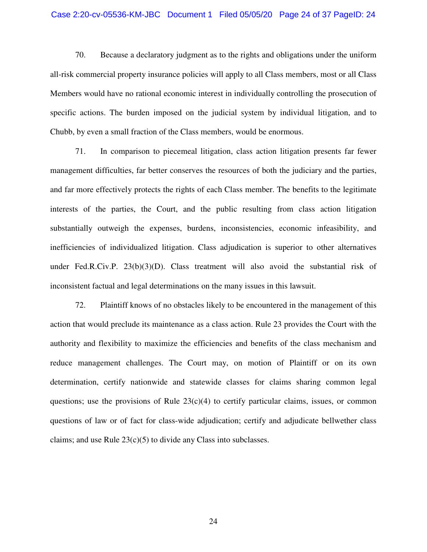#### Case 2:20-cv-05536-KM-JBC Document 1 Filed 05/05/20 Page 24 of 37 PageID: 24

70. Because a declaratory judgment as to the rights and obligations under the uniform all-risk commercial property insurance policies will apply to all Class members, most or all Class Members would have no rational economic interest in individually controlling the prosecution of specific actions. The burden imposed on the judicial system by individual litigation, and to Chubb, by even a small fraction of the Class members, would be enormous.

71. In comparison to piecemeal litigation, class action litigation presents far fewer management difficulties, far better conserves the resources of both the judiciary and the parties, and far more effectively protects the rights of each Class member. The benefits to the legitimate interests of the parties, the Court, and the public resulting from class action litigation substantially outweigh the expenses, burdens, inconsistencies, economic infeasibility, and inefficiencies of individualized litigation. Class adjudication is superior to other alternatives under Fed.R.Civ.P.  $23(b)(3)(D)$ . Class treatment will also avoid the substantial risk of inconsistent factual and legal determinations on the many issues in this lawsuit.

72. Plaintiff knows of no obstacles likely to be encountered in the management of this action that would preclude its maintenance as a class action. Rule 23 provides the Court with the authority and flexibility to maximize the efficiencies and benefits of the class mechanism and reduce management challenges. The Court may, on motion of Plaintiff or on its own determination, certify nationwide and statewide classes for claims sharing common legal questions; use the provisions of Rule  $23(c)(4)$  to certify particular claims, issues, or common questions of law or of fact for class-wide adjudication; certify and adjudicate bellwether class claims; and use Rule 23(c)(5) to divide any Class into subclasses.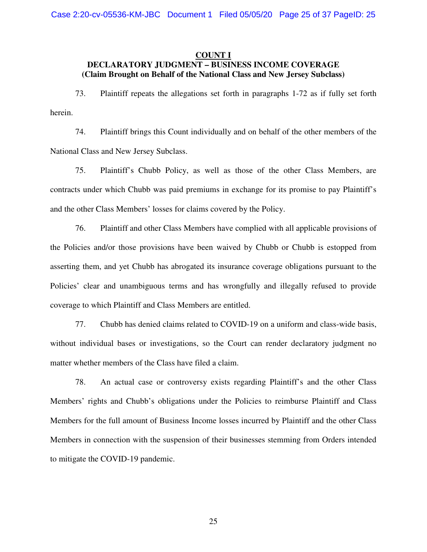#### **COUNT I**

# **DECLARATORY JUDGMENT – BUSINESS INCOME COVERAGE (Claim Brought on Behalf of the National Class and New Jersey Subclass)**

73. Plaintiff repeats the allegations set forth in paragraphs 1-72 as if fully set forth herein.

74. Plaintiff brings this Count individually and on behalf of the other members of the National Class and New Jersey Subclass.

75. Plaintiff's Chubb Policy, as well as those of the other Class Members, are contracts under which Chubb was paid premiums in exchange for its promise to pay Plaintiff's and the other Class Members' losses for claims covered by the Policy.

76. Plaintiff and other Class Members have complied with all applicable provisions of the Policies and/or those provisions have been waived by Chubb or Chubb is estopped from asserting them, and yet Chubb has abrogated its insurance coverage obligations pursuant to the Policies' clear and unambiguous terms and has wrongfully and illegally refused to provide coverage to which Plaintiff and Class Members are entitled.

77. Chubb has denied claims related to COVID-19 on a uniform and class-wide basis, without individual bases or investigations, so the Court can render declaratory judgment no matter whether members of the Class have filed a claim.

78. An actual case or controversy exists regarding Plaintiff's and the other Class Members' rights and Chubb's obligations under the Policies to reimburse Plaintiff and Class Members for the full amount of Business Income losses incurred by Plaintiff and the other Class Members in connection with the suspension of their businesses stemming from Orders intended to mitigate the COVID-19 pandemic.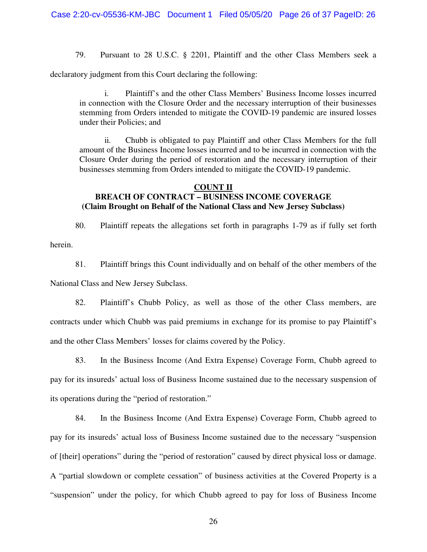79. Pursuant to 28 U.S.C. § 2201, Plaintiff and the other Class Members seek a

declaratory judgment from this Court declaring the following:

i. Plaintiff's and the other Class Members' Business Income losses incurred in connection with the Closure Order and the necessary interruption of their businesses stemming from Orders intended to mitigate the COVID-19 pandemic are insured losses under their Policies; and

ii. Chubb is obligated to pay Plaintiff and other Class Members for the full amount of the Business Income losses incurred and to be incurred in connection with the Closure Order during the period of restoration and the necessary interruption of their businesses stemming from Orders intended to mitigate the COVID-19 pandemic.

# **COUNT II**

# **BREACH OF CONTRACT – BUSINESS INCOME COVERAGE (Claim Brought on Behalf of the National Class and New Jersey Subclass)**

80. Plaintiff repeats the allegations set forth in paragraphs 1-79 as if fully set forth herein.

81. Plaintiff brings this Count individually and on behalf of the other members of the National Class and New Jersey Subclass.

82. Plaintiff's Chubb Policy, as well as those of the other Class members, are contracts under which Chubb was paid premiums in exchange for its promise to pay Plaintiff's and the other Class Members' losses for claims covered by the Policy.

83. In the Business Income (And Extra Expense) Coverage Form, Chubb agreed to pay for its insureds' actual loss of Business Income sustained due to the necessary suspension of its operations during the "period of restoration."

84. In the Business Income (And Extra Expense) Coverage Form, Chubb agreed to pay for its insureds' actual loss of Business Income sustained due to the necessary "suspension of [their] operations" during the "period of restoration" caused by direct physical loss or damage. A "partial slowdown or complete cessation" of business activities at the Covered Property is a "suspension" under the policy, for which Chubb agreed to pay for loss of Business Income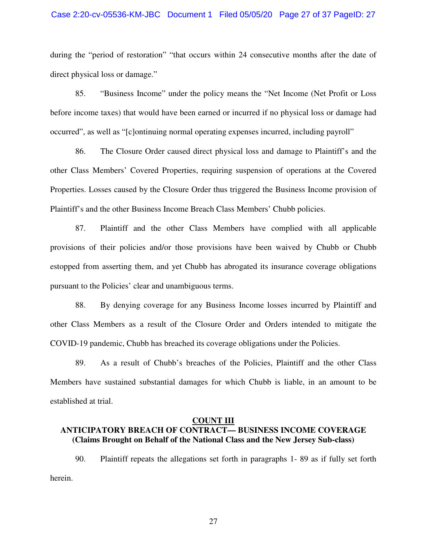#### Case 2:20-cv-05536-KM-JBC Document 1 Filed 05/05/20 Page 27 of 37 PageID: 27

during the "period of restoration" "that occurs within 24 consecutive months after the date of direct physical loss or damage."

85. "Business Income" under the policy means the "Net Income (Net Profit or Loss before income taxes) that would have been earned or incurred if no physical loss or damage had occurred", as well as "[c]ontinuing normal operating expenses incurred, including payroll"

86. The Closure Order caused direct physical loss and damage to Plaintiff's and the other Class Members' Covered Properties, requiring suspension of operations at the Covered Properties. Losses caused by the Closure Order thus triggered the Business Income provision of Plaintiff's and the other Business Income Breach Class Members' Chubb policies.

87. Plaintiff and the other Class Members have complied with all applicable provisions of their policies and/or those provisions have been waived by Chubb or Chubb estopped from asserting them, and yet Chubb has abrogated its insurance coverage obligations pursuant to the Policies' clear and unambiguous terms.

88. By denying coverage for any Business Income losses incurred by Plaintiff and other Class Members as a result of the Closure Order and Orders intended to mitigate the COVID-19 pandemic, Chubb has breached its coverage obligations under the Policies.

89. As a result of Chubb's breaches of the Policies, Plaintiff and the other Class Members have sustained substantial damages for which Chubb is liable, in an amount to be established at trial.

#### **COUNT III**

# **ANTICIPATORY BREACH OF CONTRACT— BUSINESS INCOME COVERAGE (Claims Brought on Behalf of the National Class and the New Jersey Sub-class)**

90. Plaintiff repeats the allegations set forth in paragraphs 1- 89 as if fully set forth herein.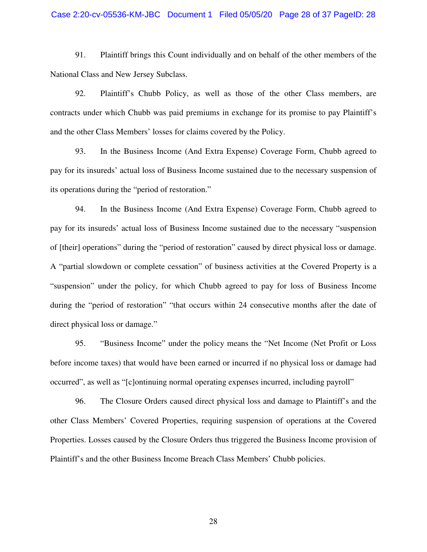#### Case 2:20-cv-05536-KM-JBC Document 1 Filed 05/05/20 Page 28 of 37 PageID: 28

91. Plaintiff brings this Count individually and on behalf of the other members of the National Class and New Jersey Subclass.

92. Plaintiff's Chubb Policy, as well as those of the other Class members, are contracts under which Chubb was paid premiums in exchange for its promise to pay Plaintiff's and the other Class Members' losses for claims covered by the Policy.

93. In the Business Income (And Extra Expense) Coverage Form, Chubb agreed to pay for its insureds' actual loss of Business Income sustained due to the necessary suspension of its operations during the "period of restoration."

94. In the Business Income (And Extra Expense) Coverage Form, Chubb agreed to pay for its insureds' actual loss of Business Income sustained due to the necessary "suspension of [their] operations" during the "period of restoration" caused by direct physical loss or damage. A "partial slowdown or complete cessation" of business activities at the Covered Property is a "suspension" under the policy, for which Chubb agreed to pay for loss of Business Income during the "period of restoration" "that occurs within 24 consecutive months after the date of direct physical loss or damage."

95. "Business Income" under the policy means the "Net Income (Net Profit or Loss before income taxes) that would have been earned or incurred if no physical loss or damage had occurred", as well as "[c]ontinuing normal operating expenses incurred, including payroll"

96. The Closure Orders caused direct physical loss and damage to Plaintiff's and the other Class Members' Covered Properties, requiring suspension of operations at the Covered Properties. Losses caused by the Closure Orders thus triggered the Business Income provision of Plaintiff's and the other Business Income Breach Class Members' Chubb policies.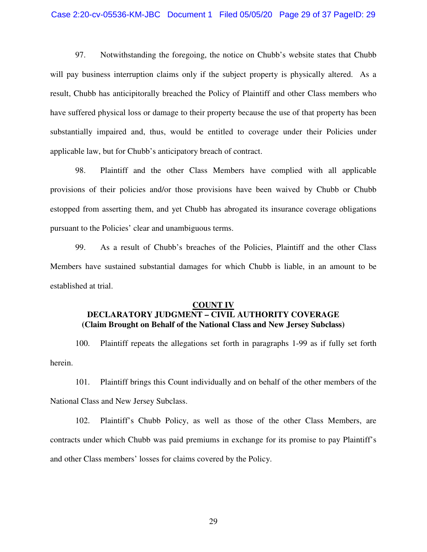### Case 2:20-cv-05536-KM-JBC Document 1 Filed 05/05/20 Page 29 of 37 PageID: 29

97. Notwithstanding the foregoing, the notice on Chubb's website states that Chubb will pay business interruption claims only if the subject property is physically altered. As a result, Chubb has anticipitorally breached the Policy of Plaintiff and other Class members who have suffered physical loss or damage to their property because the use of that property has been substantially impaired and, thus, would be entitled to coverage under their Policies under applicable law, but for Chubb's anticipatory breach of contract.

98. Plaintiff and the other Class Members have complied with all applicable provisions of their policies and/or those provisions have been waived by Chubb or Chubb estopped from asserting them, and yet Chubb has abrogated its insurance coverage obligations pursuant to the Policies' clear and unambiguous terms.

99. As a result of Chubb's breaches of the Policies, Plaintiff and the other Class Members have sustained substantial damages for which Chubb is liable, in an amount to be established at trial.

#### **COUNT IV**

# **DECLARATORY JUDGMENT – CIVIL AUTHORITY COVERAGE (Claim Brought on Behalf of the National Class and New Jersey Subclass)**

100. Plaintiff repeats the allegations set forth in paragraphs 1-99 as if fully set forth herein.

101. Plaintiff brings this Count individually and on behalf of the other members of the National Class and New Jersey Subclass.

102. Plaintiff's Chubb Policy, as well as those of the other Class Members, are contracts under which Chubb was paid premiums in exchange for its promise to pay Plaintiff's and other Class members' losses for claims covered by the Policy.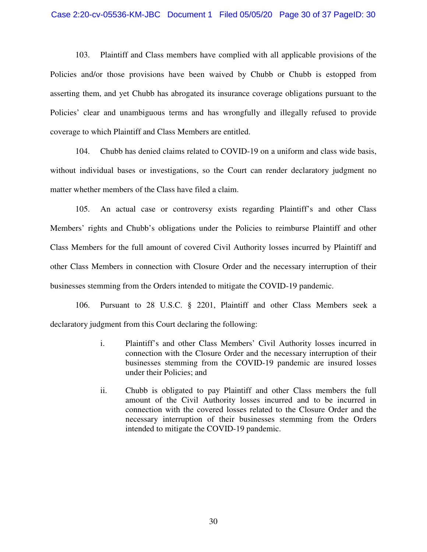### Case 2:20-cv-05536-KM-JBC Document 1 Filed 05/05/20 Page 30 of 37 PageID: 30

103. Plaintiff and Class members have complied with all applicable provisions of the Policies and/or those provisions have been waived by Chubb or Chubb is estopped from asserting them, and yet Chubb has abrogated its insurance coverage obligations pursuant to the Policies' clear and unambiguous terms and has wrongfully and illegally refused to provide coverage to which Plaintiff and Class Members are entitled.

104. Chubb has denied claims related to COVID-19 on a uniform and class wide basis, without individual bases or investigations, so the Court can render declaratory judgment no matter whether members of the Class have filed a claim.

105. An actual case or controversy exists regarding Plaintiff's and other Class Members' rights and Chubb's obligations under the Policies to reimburse Plaintiff and other Class Members for the full amount of covered Civil Authority losses incurred by Plaintiff and other Class Members in connection with Closure Order and the necessary interruption of their businesses stemming from the Orders intended to mitigate the COVID-19 pandemic.

106. Pursuant to 28 U.S.C. § 2201, Plaintiff and other Class Members seek a declaratory judgment from this Court declaring the following:

- i. Plaintiff's and other Class Members' Civil Authority losses incurred in connection with the Closure Order and the necessary interruption of their businesses stemming from the COVID-19 pandemic are insured losses under their Policies; and
- ii. Chubb is obligated to pay Plaintiff and other Class members the full amount of the Civil Authority losses incurred and to be incurred in connection with the covered losses related to the Closure Order and the necessary interruption of their businesses stemming from the Orders intended to mitigate the COVID-19 pandemic.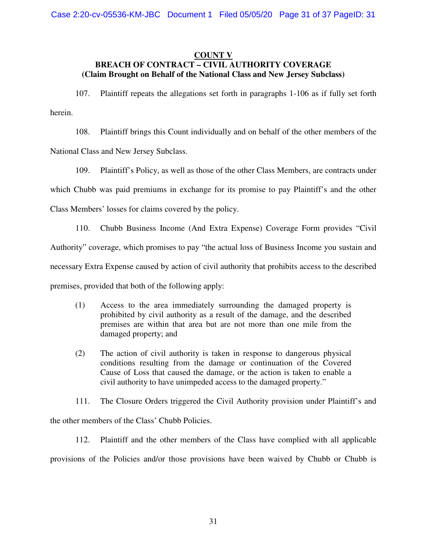### **COUNT V**

# **BREACH OF CONTRACT – CIVIL AUTHORITY COVERAGE (Claim Brought on Behalf of the National Class and New Jersey Subclass)**

107. Plaintiff repeats the allegations set forth in paragraphs 1-106 as if fully set forth herein.

108. Plaintiff brings this Count individually and on behalf of the other members of the National Class and New Jersey Subclass.

109. Plaintiff's Policy, as well as those of the other Class Members, are contracts under which Chubb was paid premiums in exchange for its promise to pay Plaintiff's and the other Class Members' losses for claims covered by the policy.

110. Chubb Business Income (And Extra Expense) Coverage Form provides "Civil Authority" coverage, which promises to pay "the actual loss of Business Income you sustain and necessary Extra Expense caused by action of civil authority that prohibits access to the described premises, provided that both of the following apply:

- (1) Access to the area immediately surrounding the damaged property is prohibited by civil authority as a result of the damage, and the described premises are within that area but are not more than one mile from the damaged property; and
- (2) The action of civil authority is taken in response to dangerous physical conditions resulting from the damage or continuation of the Covered Cause of Loss that caused the damage, or the action is taken to enable a civil authority to have unimpeded access to the damaged property."

111. The Closure Orders triggered the Civil Authority provision under Plaintiff's and the other members of the Class' Chubb Policies.

112. Plaintiff and the other members of the Class have complied with all applicable provisions of the Policies and/or those provisions have been waived by Chubb or Chubb is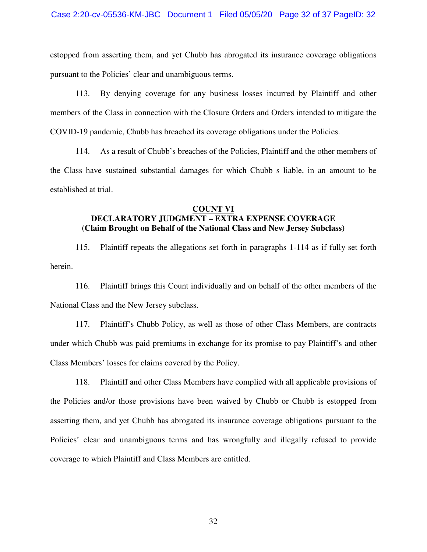estopped from asserting them, and yet Chubb has abrogated its insurance coverage obligations pursuant to the Policies' clear and unambiguous terms.

113. By denying coverage for any business losses incurred by Plaintiff and other members of the Class in connection with the Closure Orders and Orders intended to mitigate the COVID-19 pandemic, Chubb has breached its coverage obligations under the Policies.

114. As a result of Chubb's breaches of the Policies, Plaintiff and the other members of the Class have sustained substantial damages for which Chubb s liable, in an amount to be established at trial.

# **COUNT VI DECLARATORY JUDGMENT – EXTRA EXPENSE COVERAGE (Claim Brought on Behalf of the National Class and New Jersey Subclass)**

115. Plaintiff repeats the allegations set forth in paragraphs 1-114 as if fully set forth herein.

116. Plaintiff brings this Count individually and on behalf of the other members of the National Class and the New Jersey subclass.

117. Plaintiff's Chubb Policy, as well as those of other Class Members, are contracts under which Chubb was paid premiums in exchange for its promise to pay Plaintiff's and other Class Members' losses for claims covered by the Policy.

118. Plaintiff and other Class Members have complied with all applicable provisions of the Policies and/or those provisions have been waived by Chubb or Chubb is estopped from asserting them, and yet Chubb has abrogated its insurance coverage obligations pursuant to the Policies' clear and unambiguous terms and has wrongfully and illegally refused to provide coverage to which Plaintiff and Class Members are entitled.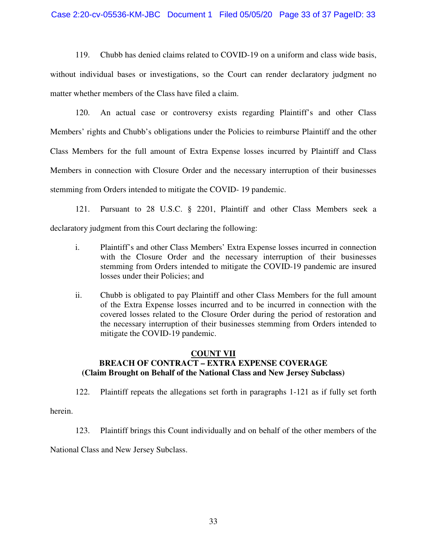### Case 2:20-cv-05536-KM-JBC Document 1 Filed 05/05/20 Page 33 of 37 PageID: 33

119. Chubb has denied claims related to COVID-19 on a uniform and class wide basis, without individual bases or investigations, so the Court can render declaratory judgment no matter whether members of the Class have filed a claim.

120. An actual case or controversy exists regarding Plaintiff's and other Class Members' rights and Chubb's obligations under the Policies to reimburse Plaintiff and the other Class Members for the full amount of Extra Expense losses incurred by Plaintiff and Class Members in connection with Closure Order and the necessary interruption of their businesses stemming from Orders intended to mitigate the COVID- 19 pandemic.

121. Pursuant to 28 U.S.C. § 2201, Plaintiff and other Class Members seek a declaratory judgment from this Court declaring the following:

- i. Plaintiff's and other Class Members' Extra Expense losses incurred in connection with the Closure Order and the necessary interruption of their businesses stemming from Orders intended to mitigate the COVID-19 pandemic are insured losses under their Policies; and
- ii. Chubb is obligated to pay Plaintiff and other Class Members for the full amount of the Extra Expense losses incurred and to be incurred in connection with the covered losses related to the Closure Order during the period of restoration and the necessary interruption of their businesses stemming from Orders intended to mitigate the COVID-19 pandemic.

# **COUNT VII BREACH OF CONTRACT – EXTRA EXPENSE COVERAGE (Claim Brought on Behalf of the National Class and New Jersey Subclass)**

122. Plaintiff repeats the allegations set forth in paragraphs 1-121 as if fully set forth

herein.

123. Plaintiff brings this Count individually and on behalf of the other members of the

National Class and New Jersey Subclass.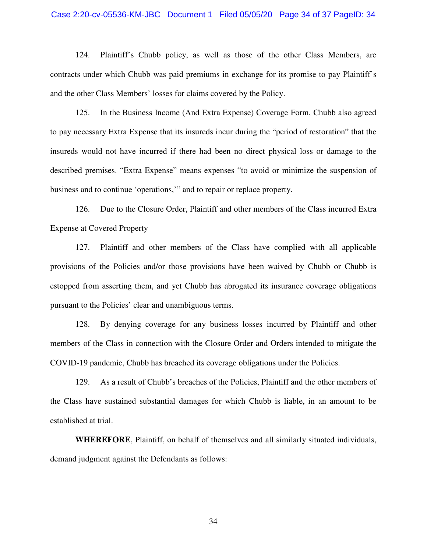#### Case 2:20-cv-05536-KM-JBC Document 1 Filed 05/05/20 Page 34 of 37 PageID: 34

124. Plaintiff's Chubb policy, as well as those of the other Class Members, are contracts under which Chubb was paid premiums in exchange for its promise to pay Plaintiff's and the other Class Members' losses for claims covered by the Policy.

125. In the Business Income (And Extra Expense) Coverage Form, Chubb also agreed to pay necessary Extra Expense that its insureds incur during the "period of restoration" that the insureds would not have incurred if there had been no direct physical loss or damage to the described premises. "Extra Expense" means expenses "to avoid or minimize the suspension of business and to continue 'operations,'" and to repair or replace property.

126. Due to the Closure Order, Plaintiff and other members of the Class incurred Extra Expense at Covered Property

127. Plaintiff and other members of the Class have complied with all applicable provisions of the Policies and/or those provisions have been waived by Chubb or Chubb is estopped from asserting them, and yet Chubb has abrogated its insurance coverage obligations pursuant to the Policies' clear and unambiguous terms.

128. By denying coverage for any business losses incurred by Plaintiff and other members of the Class in connection with the Closure Order and Orders intended to mitigate the COVID-19 pandemic, Chubb has breached its coverage obligations under the Policies.

129. As a result of Chubb's breaches of the Policies, Plaintiff and the other members of the Class have sustained substantial damages for which Chubb is liable, in an amount to be established at trial.

**WHEREFORE**, Plaintiff, on behalf of themselves and all similarly situated individuals, demand judgment against the Defendants as follows: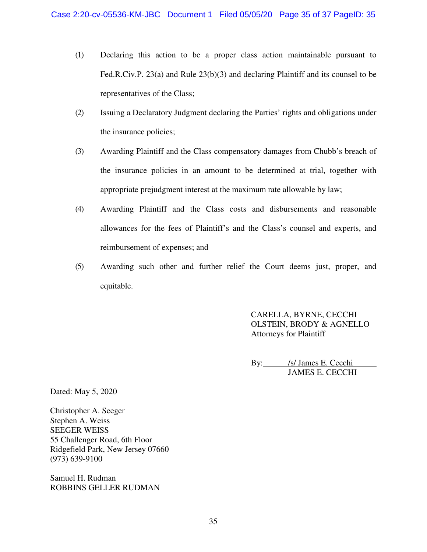- (1) Declaring this action to be a proper class action maintainable pursuant to Fed.R.Civ.P. 23(a) and Rule 23(b)(3) and declaring Plaintiff and its counsel to be representatives of the Class;
- (2) Issuing a Declaratory Judgment declaring the Parties' rights and obligations under the insurance policies;
- (3) Awarding Plaintiff and the Class compensatory damages from Chubb's breach of the insurance policies in an amount to be determined at trial, together with appropriate prejudgment interest at the maximum rate allowable by law;
- (4) Awarding Plaintiff and the Class costs and disbursements and reasonable allowances for the fees of Plaintiff's and the Class's counsel and experts, and reimbursement of expenses; and
- (5) Awarding such other and further relief the Court deems just, proper, and equitable.

CARELLA, BYRNE, CECCHI OLSTEIN, BRODY & AGNELLO Attorneys for Plaintiff

By: /s/ James E. Cecchi JAMES E. CECCHI

Dated: May 5, 2020

Christopher A. Seeger Stephen A. Weiss SEEGER WEISS 55 Challenger Road, 6th Floor Ridgefield Park, New Jersey 07660 (973) 639-9100

Samuel H. Rudman ROBBINS GELLER RUDMAN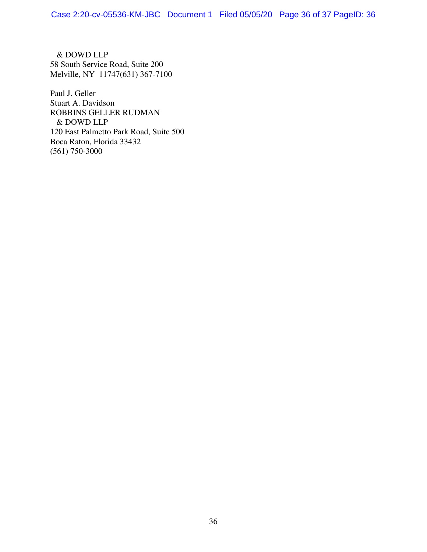& DOWD LLP 58 South Service Road, Suite 200 Melville, NY 11747(631) 367-7100

Paul J. Geller Stuart A. Davidson ROBBINS GELLER RUDMAN & DOWD LLP 120 East Palmetto Park Road, Suite 500 Boca Raton, Florida 33432 (561) 750-3000